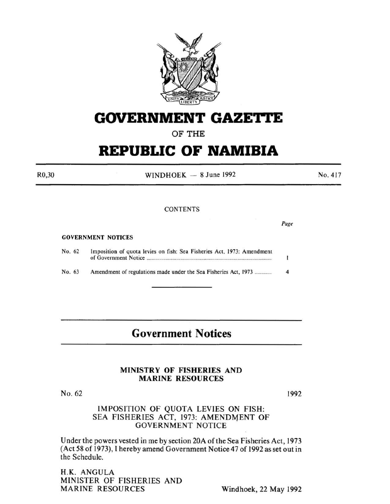

## **GOVERNMENT GAZETTE**

OF THE

# **REPUBLIC OF NAMIBIA**

R0,30

WINDHOEK  $-8$  June 1992

#### **CONTENTS**

#### GOVERNMENT NOTICES

| No. 62 | Imposition of quota levies on fish: Sea Fisheries Act, 1973: Amendment |  |
|--------|------------------------------------------------------------------------|--|
| No. 63 | Amendment of regulations made under the Sea Fisheries Act. 1973        |  |

## **Government Notices**

#### MINISTRY OF FISHERIES AND MARINE RESOURCES

No. 62

1992

Page

No. 417

#### IMPOSITION OF QUOTA LEVIES ON FISH: SEA FISHERIES ACT, 1973: AMENDMENT OF GOVERNMENT NOTICE

Under the powers vested in me by section 20A of the Sea Fisheries Act, 1973 (Act 58 of 1973), I hereby amend Government Notice47 of 1992 as set out in the Schedule.

H.K. ANGULA MINISTER OF FISHERIES AND MARINE RESOURCES Windhoek, 22 May 1992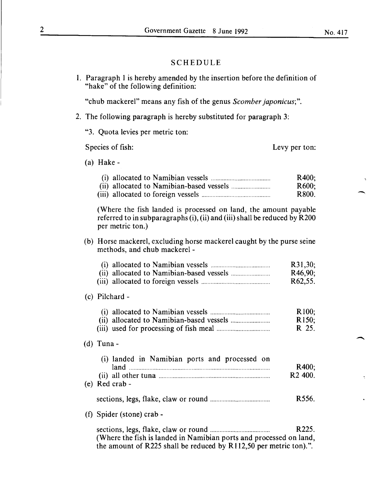#### SCHEDULE

1. Paragraph I is hereby amended by the insertion before the definition of "hake" of the following definition:

"chub mackerel" means any fish of the genus *Scomber japonicus;".* 

- 2. The following paragraph is hereby substituted for paragraph 3:
	- "3. Quota levies per metric ton:

Species of fish:

Levy per ton:

(a) Hake-

|  | R400: |
|--|-------|
|  | R600: |
|  | R800. |

(Where the fish landed is processed on land, the amount payable referred to in subparagraphs (i), (ii) and (iii) shall be reduced by R200 per metric ton.)

#### (b) Horse mackerel, excluding horse mackerel caught by the purse seine methods, and chub mackerel -

|  | R31,30;               |
|--|-----------------------|
|  | R46,90:               |
|  | R <sub>62</sub> , 55. |

#### (c) Pilchard -

|  | R100:              |
|--|--------------------|
|  | R <sub>150</sub> : |
|  | R 25.              |

#### (d) Tuna-

| (i) landed in Namibian ports and processed on<br>land | R400:               |
|-------------------------------------------------------|---------------------|
|                                                       | R <sub>2</sub> 400. |
| (e) Red crab -                                        |                     |
|                                                       |                     |

- sections, legs, flake, claw or round ..................................... . R556.
- (f) Spider (stone) crab-

sections, legs, flake, claw or round ...................................... R225. (Where the fish is landed in Namibian ports and processed on land, the amount of R225 shall be reduced by Rl12,50 per metric ton).".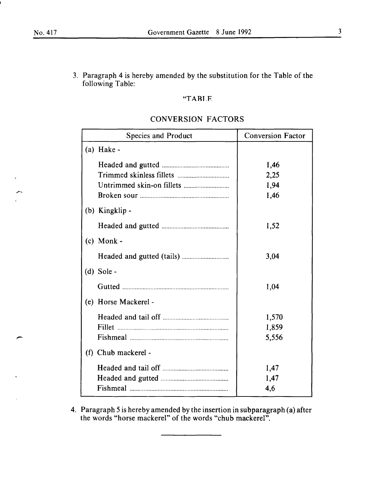$\overline{\phantom{0}}$ 

-

3. Paragraph 4 is hereby amended by the substitution for the Table of the following Table:

#### "TARLF

|     | <b>Species and Product</b> | <b>Conversion Factor</b>     |
|-----|----------------------------|------------------------------|
| (a) | Hake -                     |                              |
|     |                            | 1,46<br>2,25<br>1,94<br>1,46 |
|     | (b) Kingklip -             |                              |
|     |                            | 1,52                         |
|     | $(c)$ Monk -               |                              |
|     |                            | 3,04                         |
|     | $(d)$ Sole -               |                              |
|     |                            | 1,04                         |
|     | (e) Horse Mackerel -       |                              |
|     | Fillet                     | 1,570<br>1,859<br>5,556      |
|     | (f) Chub mackerel -        |                              |
|     |                            | 1,47<br>1,47<br>4,6          |

#### CONVERSION FACTORS

4. Paragraph *5* is hereby amended by the insertion in subparagraph (a) after the words "horse mackerel" of the words "chub mackerel".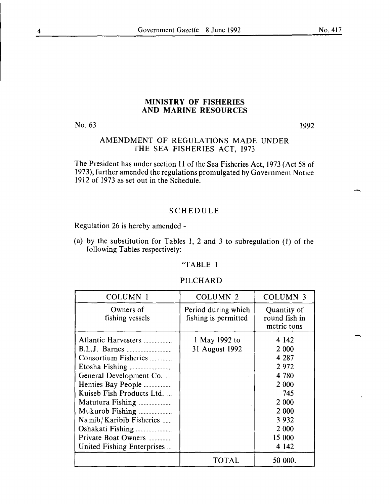#### MINISTRY OF FISHERIES AND MARINE RESOURCES

No. 63

1992

#### AMENDMENT OF REGULATIONS MADE UNDER THE SEA FISHERIES ACT, 1973

The President has under section 11 of the Sea Fisheries Act, 1973 (Act 58 of 1973), further amended the regulations promulgated by Government Notice I9I2 of I973 as set out in the Schedule.

#### SCHEDULE

Regulation 26 is hereby amended -

(a) by the substitution for Tables I, 2 and 3 to subregulation (1) of the following Tables respectively:

#### "TABLE I

#### PILCHARD

| <b>COLUMN 1</b>                                                                                                                                                                                                                                  | <b>COLUMN 2</b>                             | <b>COLUMN 3</b>                                                                                                                 |
|--------------------------------------------------------------------------------------------------------------------------------------------------------------------------------------------------------------------------------------------------|---------------------------------------------|---------------------------------------------------------------------------------------------------------------------------------|
| Owners of<br>fishing vessels                                                                                                                                                                                                                     | Period during which<br>fishing is permitted | Quantity of<br>round fish in<br>metric tons                                                                                     |
| Atlantic Harvesters<br>Consortium Fisheries<br>General Development Co.<br>Henties Bay People<br>Kuiseb Fish Products Ltd.<br>Matutura Fishing<br>Mukurob Fishing<br>Namib/Karibib Fisheries<br>Private Boat Owners<br>United Fishing Enterprises | 1 May 1992 to<br>31 August 1992             | 4 1 4 2<br>2 0 0 0<br>4 2 8 7<br>2972<br>4 7 8 0<br>2 0 0 0<br>745<br>2 000<br>2 0 0 0<br>3 9 3 2<br>2 000<br>15 000<br>4 1 4 2 |
|                                                                                                                                                                                                                                                  | <b>TOTAL</b>                                | 50 000.                                                                                                                         |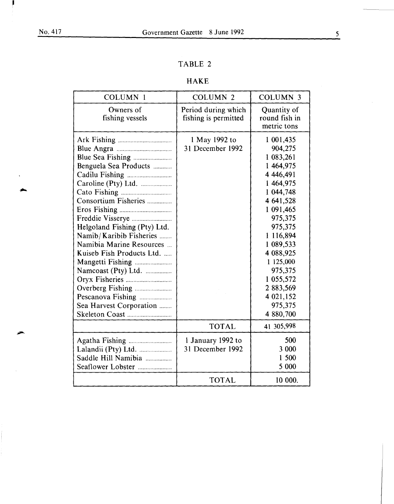### TABLE 2

### HAKE

| <b>COLUMN 1</b>                                                                                                                                                                                                                                                              | <b>COLUMN 2</b>                             | <b>COLUMN 3</b>                                                                                                                                                                                                                               |
|------------------------------------------------------------------------------------------------------------------------------------------------------------------------------------------------------------------------------------------------------------------------------|---------------------------------------------|-----------------------------------------------------------------------------------------------------------------------------------------------------------------------------------------------------------------------------------------------|
| Owners of<br>fishing vessels                                                                                                                                                                                                                                                 | Period during which<br>fishing is permitted | Quantity of<br>round fish in<br>metric tons                                                                                                                                                                                                   |
| Benguela Sea Products<br>Caroline (Pty) Ltd.<br>Consortium Fisheries<br>Helgoland Fishing (Pty) Ltd.<br>Namib/Karibib Fisheries<br>Namibia Marine Resources<br>Kuiseb Fish Products Ltd.<br>Mangetti Fishing<br>Namcoast (Pty) Ltd.<br>Overberg Fishing<br>Pescanova Fishing | 1 May 1992 to<br>31 December 1992           | 1 001,435<br>904,275<br>1 083,261<br>1 464,975<br>4 4 4 6,491<br>1 464,975<br>1 044,748<br>4 641,528<br>1 091,465<br>975,375<br>975,375<br>1 116,894<br>1 089,533<br>4 088,925<br>1 125,000<br>975,375<br>1 055,572<br>2 883,569<br>4 021,152 |
| Sea Harvest Corporation                                                                                                                                                                                                                                                      |                                             | 975,375<br>4 880,700                                                                                                                                                                                                                          |
|                                                                                                                                                                                                                                                                              | <b>TOTAL</b>                                | 41 305,998                                                                                                                                                                                                                                    |
| Lalandii (Pty) Ltd.<br>Saddle Hill Namibia<br>Seaflower Lobster                                                                                                                                                                                                              | 1 January 1992 to<br>31 December 1992       | 500<br>3 000<br>1 500<br>5 000                                                                                                                                                                                                                |
|                                                                                                                                                                                                                                                                              | <b>TOTAL</b>                                | 10 000.                                                                                                                                                                                                                                       |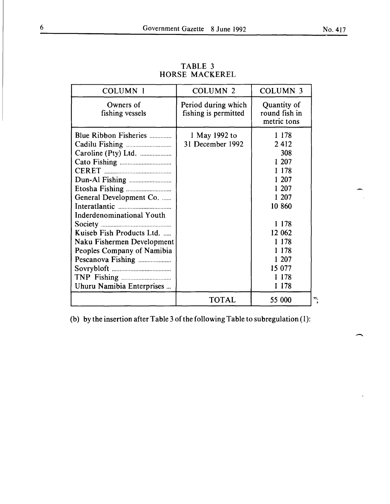| <b>COLUMN 1</b>                                                                                                                                                                                                                 | <b>COLUMN 2</b>                             | <b>COLUMN 3</b>                                                                                                                                                     |    |
|---------------------------------------------------------------------------------------------------------------------------------------------------------------------------------------------------------------------------------|---------------------------------------------|---------------------------------------------------------------------------------------------------------------------------------------------------------------------|----|
| Owners of<br>fishing vessels                                                                                                                                                                                                    | Period during which<br>fishing is permitted | Quantity of<br>round fish in<br>metric tons                                                                                                                         |    |
| Blue Ribbon Fisheries<br>General Development Co.<br><b>Inderdenominational Youth</b><br>Kuiseb Fish Products Ltd.<br>Naku Fishermen Development<br>Peoples Company of Namibia<br>Pescanova Fishing<br>Uhuru Namibia Enterprises | 1 May 1992 to<br>31 December 1992           | 1 1 7 8<br>2412<br>308<br>1 207<br>1 1 7 8<br>1 207<br>1 207<br>1 207<br>10 860<br>1 1 7 8<br>12 062<br>1 1 7 8<br>1 1 7 8<br>1 207<br>15 077<br>1 1 7 8<br>1 1 7 8 |    |
|                                                                                                                                                                                                                                 | <b>TOTAL</b>                                | 55 000                                                                                                                                                              | ". |

TABLE 3 HORSE MACKEREL

(b) by the insertion after Table 3 of the following Table to subregulation (1):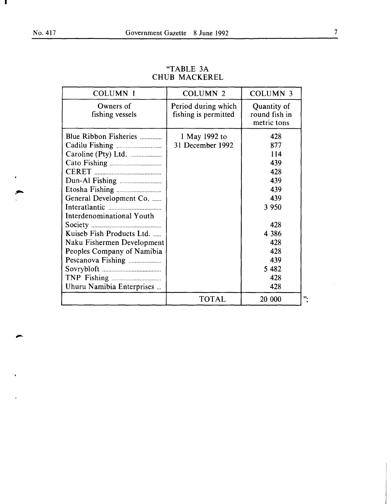$\sim$ 

 $\mathbf{r}$ 

I

 $\blacktriangleleft$ 

 $\sum_{i=1}^{n}$ 

 $\bar{\mathbf{v}}$ 

 $\bar{\mathbf{r}}$ 

| <b>COLUMN 1</b>                                                                                                                                                                                                                                 | <b>COLUMN 2</b>                             | <b>COLUMN 3</b>                                                                                                                 |
|-------------------------------------------------------------------------------------------------------------------------------------------------------------------------------------------------------------------------------------------------|---------------------------------------------|---------------------------------------------------------------------------------------------------------------------------------|
| Owners of<br>fishing vessels                                                                                                                                                                                                                    | Period during which<br>fishing is permitted | Quantity of<br>round fish in<br>metric tons                                                                                     |
| Blue Ribbon Fisheries<br>Caroline (Pty) Ltd.<br>General Development Co.<br>Interdenominational Youth<br>Kuiseb Fish Products Ltd.<br>Naku Fishermen Development<br>Peoples Company of Namibia<br>Pescanova Fishing<br>Uhuru Namibia Enterprises | 1 May 1992 to<br>31 December 1992           | 428<br>877<br>114<br>439<br>428<br>439<br>439<br>439<br>3 9 5 0<br>428<br>4 3 8 6<br>428<br>428<br>439<br>5 4 8 2<br>428<br>428 |
|                                                                                                                                                                                                                                                 | <b>TOTAL</b>                                | 20 000                                                                                                                          |

#### "TABLE 3A CHUB MACKEREL

 $\bar{z}$